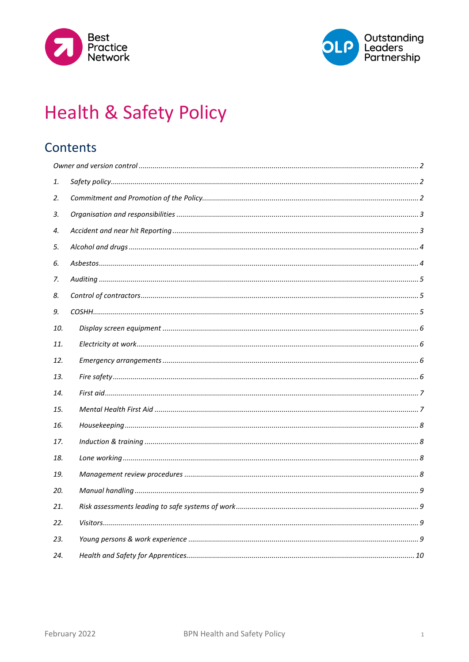



# **Health & Safety Policy**

# Contents

| 1.  |  |
|-----|--|
| 2.  |  |
| 3.  |  |
| 4.  |  |
| 5.  |  |
| 6.  |  |
| 7.  |  |
| 8.  |  |
| 9.  |  |
| 10. |  |
| 11. |  |
| 12. |  |
| 13. |  |
| 14. |  |
| 15. |  |
| 16. |  |
| 17. |  |
| 18. |  |
| 19. |  |
| 20. |  |
| 21. |  |
| 22. |  |
| 23. |  |
| 24. |  |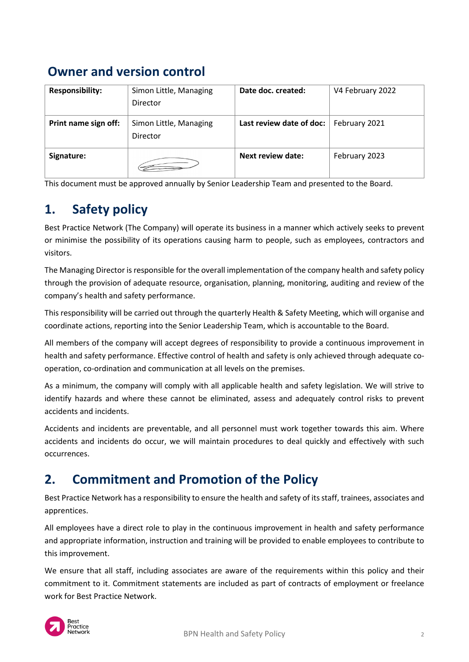# <span id="page-1-0"></span>**Owner and version control**

| <b>Responsibility:</b> | Simon Little, Managing<br>Director | Date doc. created:       | V4 February 2022 |
|------------------------|------------------------------------|--------------------------|------------------|
| Print name sign off:   | Simon Little, Managing<br>Director | Last review date of doc: | February 2021    |
| Signature:             |                                    | Next review date:        | February 2023    |

This document must be approved annually by Senior Leadership Team and presented to the Board.

# <span id="page-1-1"></span>**1. Safety policy**

Best Practice Network (The Company) will operate its business in a manner which actively seeks to prevent or minimise the possibility of its operations causing harm to people, such as employees, contractors and visitors.

The Managing Director is responsible for the overall implementation of the company health and safety policy through the provision of adequate resource, organisation, planning, monitoring, auditing and review of the company's health and safety performance.

This responsibility will be carried out through the quarterly Health & Safety Meeting, which will organise and coordinate actions, reporting into the Senior Leadership Team, which is accountable to the Board.

All members of the company will accept degrees of responsibility to provide a continuous improvement in health and safety performance. Effective control of health and safety is only achieved through adequate cooperation, co-ordination and communication at all levels on the premises.

As a minimum, the company will comply with all applicable health and safety legislation. We will strive to identify hazards and where these cannot be eliminated, assess and adequately control risks to prevent accidents and incidents.

Accidents and incidents are preventable, and all personnel must work together towards this aim. Where accidents and incidents do occur, we will maintain procedures to deal quickly and effectively with such occurrences.

# <span id="page-1-2"></span>**2. Commitment and Promotion of the Policy**

Best Practice Network has a responsibility to ensure the health and safety of its staff, trainees, associates and apprentices.

All employees have a direct role to play in the continuous improvement in health and safety performance and appropriate information, instruction and training will be provided to enable employees to contribute to this improvement.

We ensure that all staff, including associates are aware of the requirements within this policy and their commitment to it. Commitment statements are included as part of contracts of employment or freelance work for Best Practice Network.

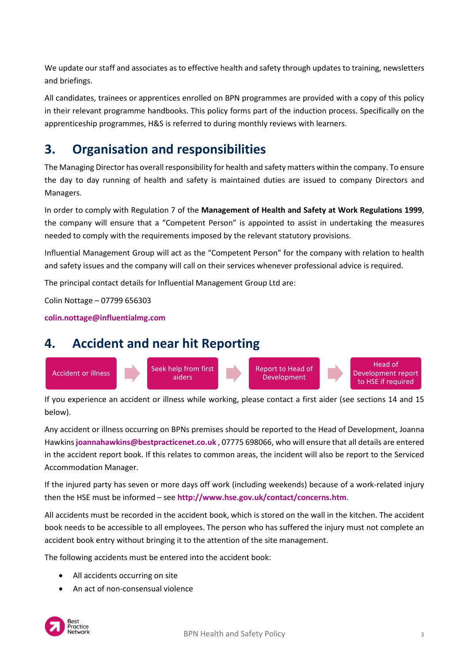We update our staff and associates as to effective health and safety through updates to training, newsletters and briefings.

All candidates, trainees or apprentices enrolled on BPN programmes are provided with a copy of this policy in their relevant programme handbooks. This policy forms part of the induction process. Specifically on the apprenticeship programmes, H&S is referred to during monthly reviews with learners.

# <span id="page-2-0"></span>**3. Organisation and responsibilities**

The Managing Director has overall responsibility for health and safety matters within the company. To ensure the day to day running of health and safety is maintained duties are issued to company Directors and Managers.

In order to comply with Regulation 7 of the **Management of Health and Safety at Work Regulations 1999**, the company will ensure that a "Competent Person" is appointed to assist in undertaking the measures needed to comply with the requirements imposed by the relevant statutory provisions.

Influential Management Group will act as the "Competent Person" for the company with relation to health and safety issues and the company will call on their services whenever professional advice is required.

The principal contact details for Influential Management Group Ltd are:

Colin Nottage – 07799 656303

**[colin.nottage@influentialmg.com](mailto:colin.nottage@influentialmg.com)**

### <span id="page-2-1"></span>**4. Accident and near hit Reporting**



If you experience an accident or illness while working, please contact a first aider (see sections 14 and 15 below).

Any accident or illness occurring on BPNs premises should be reported to the Head of Development, Joanna Hawkins **[joannahawkins@bestpracticenet.co.uk](mailto:joannahawkins@bestpracticenet.co.uk)** , 07775 698066, who will ensure that all details are entered in the accident report book. If this relates to common areas, the incident will also be report to the Serviced Accommodation Manager.

If the injured party has seven or more days off work (including weekends) because of a work-related injury then the HSE must be informed – see **<http://www.hse.gov.uk/contact/concerns.htm>**.

All accidents must be recorded in the accident book, which is stored on the wall in the kitchen. The accident book needs to be accessible to all employees. The person who has suffered the injury must not complete an accident book entry without bringing it to the attention of the site management.

The following accidents must be entered into the accident book:

- All accidents occurring on site
- An act of non-consensual violence

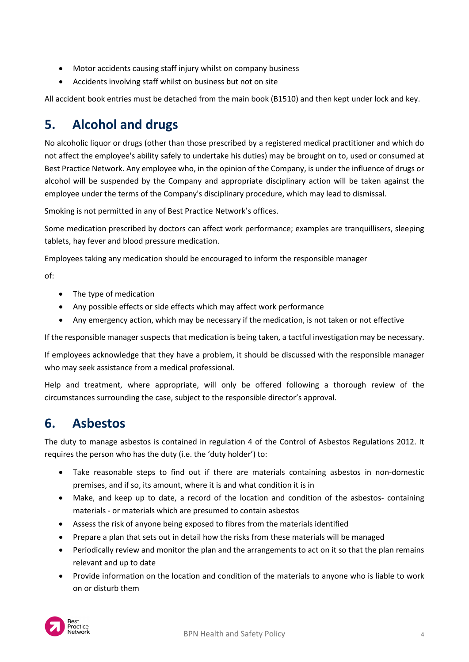- Motor accidents causing staff injury whilst on company business
- Accidents involving staff whilst on business but not on site

All accident book entries must be detached from the main book (B1510) and then kept under lock and key.

# <span id="page-3-0"></span>**5. Alcohol and drugs**

No alcoholic liquor or drugs (other than those prescribed by a registered medical practitioner and which do not affect the employee's ability safely to undertake his duties) may be brought on to, used or consumed at Best Practice Network. Any employee who, in the opinion of the Company, is under the influence of drugs or alcohol will be suspended by the Company and appropriate disciplinary action will be taken against the employee under the terms of the Company's disciplinary procedure, which may lead to dismissal.

Smoking is not permitted in any of Best Practice Network's offices.

Some medication prescribed by doctors can affect work performance; examples are tranquillisers, sleeping tablets, hay fever and blood pressure medication.

Employees taking any medication should be encouraged to inform the responsible manager

of:

- The type of medication
- Any possible effects or side effects which may affect work performance
- Any emergency action, which may be necessary if the medication, is not taken or not effective

If the responsible manager suspects that medication is being taken, a tactful investigation may be necessary.

If employees acknowledge that they have a problem, it should be discussed with the responsible manager who may seek assistance from a medical professional.

Help and treatment, where appropriate, will only be offered following a thorough review of the circumstances surrounding the case, subject to the responsible director's approval.

### <span id="page-3-1"></span>**6. Asbestos**

The duty to manage asbestos is contained in regulation 4 of the Control of Asbestos Regulations 2012. It requires the person who has the duty (i.e. the 'duty holder') to:

- Take reasonable steps to find out if there are materials containing asbestos in non-domestic premises, and if so, its amount, where it is and what condition it is in
- Make, and keep up to date, a record of the location and condition of the asbestos- containing materials - or materials which are presumed to contain asbestos
- Assess the risk of anyone being exposed to fibres from the materials identified
- Prepare a plan that sets out in detail how the risks from these materials will be managed
- Periodically review and monitor the plan and the arrangements to act on it so that the plan remains relevant and up to date
- Provide information on the location and condition of the materials to anyone who is liable to work on or disturb them

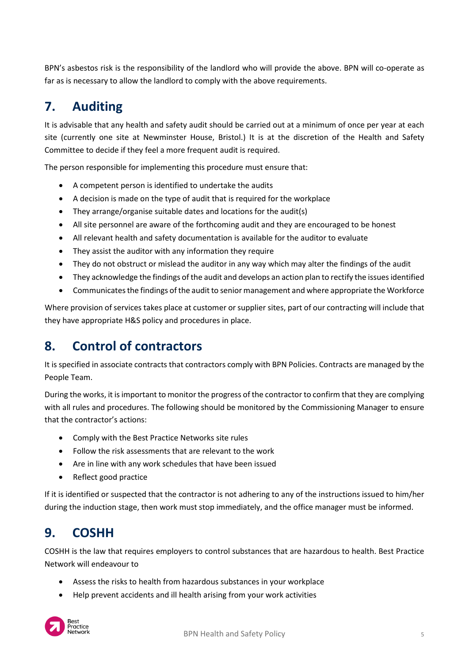BPN's asbestos risk is the responsibility of the landlord who will provide the above. BPN will co-operate as far as is necessary to allow the landlord to comply with the above requirements.

# <span id="page-4-0"></span>**7. Auditing**

It is advisable that any health and safety audit should be carried out at a minimum of once per year at each site (currently one site at Newminster House, Bristol.) It is at the discretion of the Health and Safety Committee to decide if they feel a more frequent audit is required.

The person responsible for implementing this procedure must ensure that:

- A competent person is identified to undertake the audits
- A decision is made on the type of audit that is required for the workplace
- They arrange/organise suitable dates and locations for the audit(s)
- All site personnel are aware of the forthcoming audit and they are encouraged to be honest
- All relevant health and safety documentation is available for the auditor to evaluate
- They assist the auditor with any information they require
- They do not obstruct or mislead the auditor in any way which may alter the findings of the audit
- They acknowledge the findings of the audit and develops an action plan to rectify the issues identified
- Communicates the findings of the audit to senior management and where appropriate the Workforce

Where provision of services takes place at customer or supplier sites, part of our contracting will include that they have appropriate H&S policy and procedures in place.

### <span id="page-4-1"></span>**8. Control of contractors**

It is specified in associate contracts that contractors comply with BPN Policies. Contracts are managed by the People Team.

During the works, it is important to monitor the progress of the contractor to confirm that they are complying with all rules and procedures. The following should be monitored by the Commissioning Manager to ensure that the contractor's actions:

- Comply with the Best Practice Networks site rules
- Follow the risk assessments that are relevant to the work
- Are in line with any work schedules that have been issued
- Reflect good practice

If it is identified or suspected that the contractor is not adhering to any of the instructions issued to him/her during the induction stage, then work must stop immediately, and the office manager must be informed.

# <span id="page-4-2"></span>**9. COSHH**

COSHH is the law that requires employers to control substances that are hazardous to health. Best Practice Network will endeavour to

- Assess the risks to health from hazardous substances in your workplace
- Help prevent accidents and ill health arising from your work activities

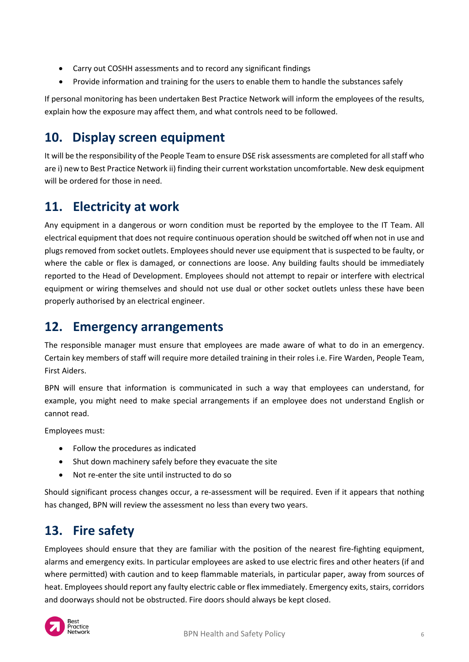- Carry out COSHH assessments and to record any significant findings
- Provide information and training for the users to enable them to handle the substances safely

If personal monitoring has been undertaken Best Practice Network will inform the employees of the results, explain how the exposure may affect them, and what controls need to be followed.

# <span id="page-5-0"></span>**10. Display screen equipment**

It will be the responsibility of the People Team to ensure DSE risk assessments are completed for all staff who are i) new to Best Practice Network ii) finding their current workstation uncomfortable. New desk equipment will be ordered for those in need.

# <span id="page-5-1"></span>**11. Electricity at work**

Any equipment in a dangerous or worn condition must be reported by the employee to the IT Team. All electrical equipment that does not require continuous operation should be switched off when not in use and plugs removed from socket outlets. Employees should never use equipment that is suspected to be faulty, or where the cable or flex is damaged, or connections are loose. Any building faults should be immediately reported to the Head of Development. Employees should not attempt to repair or interfere with electrical equipment or wiring themselves and should not use dual or other socket outlets unless these have been properly authorised by an electrical engineer.

### <span id="page-5-2"></span>**12. Emergency arrangements**

The responsible manager must ensure that employees are made aware of what to do in an emergency. Certain key members of staff will require more detailed training in their roles i.e. Fire Warden, People Team, First Aiders.

BPN will ensure that information is communicated in such a way that employees can understand, for example, you might need to make special arrangements if an employee does not understand English or cannot read.

Employees must:

- Follow the procedures as indicated
- Shut down machinery safely before they evacuate the site
- Not re-enter the site until instructed to do so

Should significant process changes occur, a re-assessment will be required. Even if it appears that nothing has changed, BPN will review the assessment no less than every two years.

### <span id="page-5-3"></span>**13. Fire safety**

Employees should ensure that they are familiar with the position of the nearest fire-fighting equipment, alarms and emergency exits. In particular employees are asked to use electric fires and other heaters (if and where permitted) with caution and to keep flammable materials, in particular paper, away from sources of heat. Employees should report any faulty electric cable or flex immediately. Emergency exits, stairs, corridors and doorways should not be obstructed. Fire doors should always be kept closed.

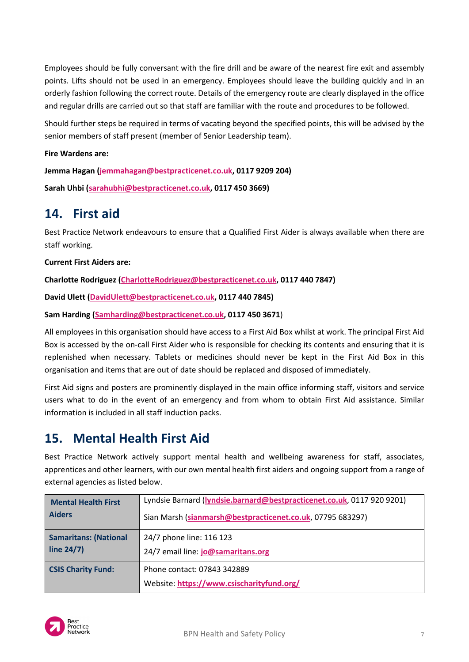Employees should be fully conversant with the fire drill and be aware of the nearest fire exit and assembly points. Lifts should not be used in an emergency. Employees should leave the building quickly and in an orderly fashion following the correct route. Details of the emergency route are clearly displayed in the office and regular drills are carried out so that staff are familiar with the route and procedures to be followed.

Should further steps be required in terms of vacating beyond the specified points, this will be advised by the senior members of staff present (member of Senior Leadership team).

#### **Fire Wardens are:**

**Jemma Hagan [\(jemmahagan@bestpracticenet.co.uk,](mailto:jemmahagan@bestpracticenet.co.uk) 0117 9209 204)**

**Sarah Uhbi [\(sarahubhi@bestpracticenet.co.uk,](mailto:sarahubhi@bestpracticenet.co.uk) 0117 450 3669)**

### <span id="page-6-0"></span>**14. First aid**

Best Practice Network endeavours to ensure that a Qualified First Aider is always available when there are staff working.

#### **Current First Aiders are:**

**Charlotte Rodriguez [\(CharlotteRodriguez@bestpracticenet.co.uk,](mailto:CharlotteRodriguez@bestpracticenet.co.uk) 0117 440 7847)**

**David Ulett [\(DavidUlett@bestpracticenet.co.uk,](mailto:DavidUlett@bestpracticenet.co.uk) 0117 440 7845)**

#### **Sam Harding [\(Samharding@bestpracticenet.co.uk,](mailto:Samharding@bestpracticenet.co.uk) 0117 450 3671**)

All employees in this organisation should have access to a First Aid Box whilst at work. The principal First Aid Box is accessed by the on-call First Aider who is responsible for checking its contents and ensuring that it is replenished when necessary. Tablets or medicines should never be kept in the First Aid Box in this organisation and items that are out of date should be replaced and disposed of immediately.

First Aid signs and posters are prominently displayed in the main office informing staff, visitors and service users what to do in the event of an emergency and from whom to obtain First Aid assistance. Similar information is included in all staff induction packs.

### <span id="page-6-1"></span>**15. Mental Health First Aid**

Best Practice Network actively support mental health and wellbeing awareness for staff, associates, apprentices and other learners, with our own mental health first aiders and ongoing support from a range of external agencies as listed below.

| <b>Mental Health First</b>   | Lyndsie Barnard (lyndsie.barnard@bestpracticenet.co.uk, 0117 920 9201)   |
|------------------------------|--------------------------------------------------------------------------|
| <b>Aiders</b>                | Sian Marsh (sianmarsh@bestpracticenet.co.uk, 07795 683297)               |
| <b>Samaritans: (National</b> | 24/7 phone line: 116 123                                                 |
| line $24/7$ )                | 24/7 email line: jo@samaritans.org                                       |
| <b>CSIS Charity Fund:</b>    | Phone contact: 07843 342889<br>Website: https://www.csischarityfund.org/ |

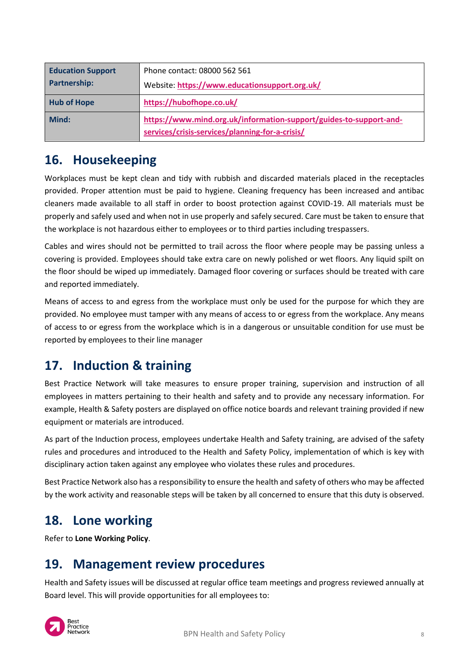| <b>Education Support</b><br><b>Partnership:</b> | Phone contact: 08000 562 561<br>Website: https://www.educationsupport.org.uk/                                         |
|-------------------------------------------------|-----------------------------------------------------------------------------------------------------------------------|
| <b>Hub of Hope</b>                              | https://hubofhope.co.uk/                                                                                              |
| Mind:                                           | https://www.mind.org.uk/information-support/guides-to-support-and-<br>services/crisis-services/planning-for-a-crisis/ |

### <span id="page-7-0"></span>**16. Housekeeping**

Workplaces must be kept clean and tidy with rubbish and discarded materials placed in the receptacles provided. Proper attention must be paid to hygiene. Cleaning frequency has been increased and antibac cleaners made available to all staff in order to boost protection against COVID-19. All materials must be properly and safely used and when not in use properly and safely secured. Care must be taken to ensure that the workplace is not hazardous either to employees or to third parties including trespassers.

Cables and wires should not be permitted to trail across the floor where people may be passing unless a covering is provided. Employees should take extra care on newly polished or wet floors. Any liquid spilt on the floor should be wiped up immediately. Damaged floor covering or surfaces should be treated with care and reported immediately.

Means of access to and egress from the workplace must only be used for the purpose for which they are provided. No employee must tamper with any means of access to or egress from the workplace. Any means of access to or egress from the workplace which is in a dangerous or unsuitable condition for use must be reported by employees to their line manager

### <span id="page-7-1"></span>**17. Induction & training**

Best Practice Network will take measures to ensure proper training, supervision and instruction of all employees in matters pertaining to their health and safety and to provide any necessary information. For example, Health & Safety posters are displayed on office notice boards and relevant training provided if new equipment or materials are introduced.

As part of the Induction process, employees undertake Health and Safety training, are advised of the safety rules and procedures and introduced to the Health and Safety Policy, implementation of which is key with disciplinary action taken against any employee who violates these rules and procedures.

Best Practice Network also has a responsibility to ensure the health and safety of others who may be affected by the work activity and reasonable steps will be taken by all concerned to ensure that this duty is observed.

### <span id="page-7-2"></span>**18. Lone working**

Refer to **Lone Working Policy**.

# <span id="page-7-3"></span>**19. Management review procedures**

Health and Safety issues will be discussed at regular office team meetings and progress reviewed annually at Board level. This will provide opportunities for all employees to:

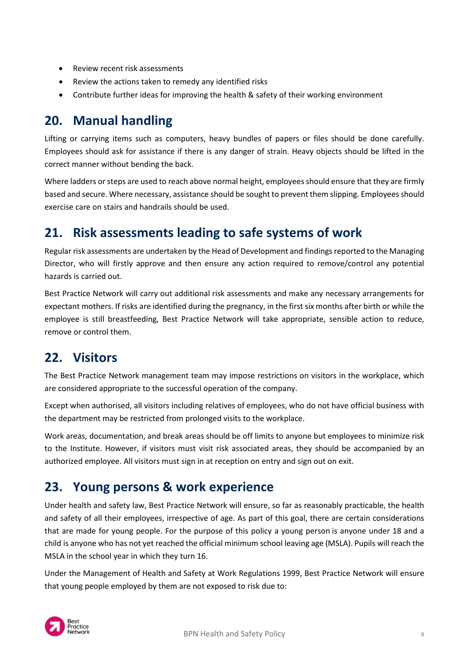- Review recent risk assessments
- Review the actions taken to remedy any identified risks
- Contribute further ideas for improving the health & safety of their working environment

## <span id="page-8-0"></span>**20. Manual handling**

Lifting or carrying items such as computers, heavy bundles of papers or files should be done carefully. Employees should ask for assistance if there is any danger of strain. Heavy objects should be lifted in the correct manner without bending the back.

Where ladders or steps are used to reach above normal height, employees should ensure that they are firmly based and secure. Where necessary, assistance should be sought to prevent them slipping. Employees should exercise care on stairs and handrails should be used.

### <span id="page-8-1"></span>**21. Risk assessments leading to safe systems of work**

Regular risk assessments are undertaken by the Head of Development and findings reported to the Managing Director, who will firstly approve and then ensure any action required to remove/control any potential hazards is carried out.

Best Practice Network will carry out additional risk assessments and make any necessary arrangements for expectant mothers. If risks are identified during the pregnancy, in the first six months after birth or while the employee is still breastfeeding, Best Practice Network will take appropriate, sensible action to reduce, remove or control them.

### <span id="page-8-2"></span>**22. Visitors**

The Best Practice Network management team may impose restrictions on visitors in the workplace, which are considered appropriate to the successful operation of the company.

Except when authorised, all visitors including relatives of employees, who do not have official business with the department may be restricted from prolonged visits to the workplace.

Work areas, documentation, and break areas should be off limits to anyone but employees to minimize risk to the Institute. However, if visitors must visit risk associated areas, they should be accompanied by an authorized employee. All visitors must sign in at reception on entry and sign out on exit.

### <span id="page-8-3"></span>**23. Young persons & work experience**

Under health and safety law, Best Practice Network will ensure, [so far as reasonably practicable,](http://www.hse.gov.uk/youngpeople/law/index.htm#sfarp) the health and safety of all their employees, irrespective of age. As part of this goal, there are certain considerations that are made for young people. For the purpose of this policy a young person is anyone under 18 and a child is anyone who has not yet reached the official minimum school leaving age (MSLA). Pupils will reach the MSLA in the school year in which they turn 16.

Under the Management of Health and Safety at Work Regulations 1999, Best Practice Network will ensure that young people employed by them are not exposed to risk due to:

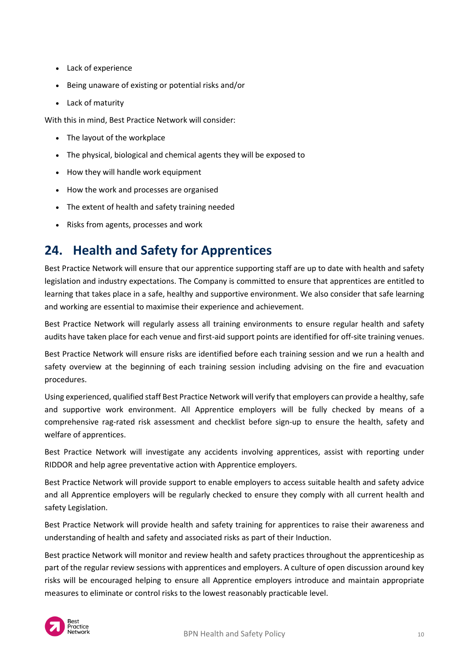- Lack of experience
- Being unaware of existing or potential risks and/or
- Lack of maturity

With this in mind, Best Practice Network will consider:

- The layout of the workplace
- The physical, biological and chemical agents they will be exposed to
- How they will handle work equipment
- How the work and processes are organised
- The extent of health and safety training needed
- Risks from agents, processes and work

# <span id="page-9-0"></span>**24. Health and Safety for Apprentices**

Best Practice Network will ensure that our apprentice supporting staff are up to date with health and safety legislation and industry expectations. The Company is committed to ensure that apprentices are entitled to learning that takes place in a safe, healthy and supportive environment. We also consider that safe learning and working are essential to maximise their experience and achievement.

Best Practice Network will regularly assess all training environments to ensure regular health and safety audits have taken place for each venue and first-aid support points are identified for off-site training venues.

Best Practice Network will ensure risks are identified before each training session and we run a health and safety overview at the beginning of each training session including advising on the fire and evacuation procedures.

Using experienced, qualified staff Best Practice Network will verify that employers can provide a healthy, safe and supportive work environment. All Apprentice employers will be fully checked by means of a comprehensive rag-rated risk assessment and checklist before sign-up to ensure the health, safety and welfare of apprentices.

Best Practice Network will investigate any accidents involving apprentices, assist with reporting under RIDDOR and help agree preventative action with Apprentice employers.

Best Practice Network will provide support to enable employers to access suitable health and safety advice and all Apprentice employers will be regularly checked to ensure they comply with all current health and safety Legislation.

Best Practice Network will provide health and safety training for apprentices to raise their awareness and understanding of health and safety and associated risks as part of their Induction.

Best practice Network will monitor and review health and safety practices throughout the apprenticeship as part of the regular review sessions with apprentices and employers. A culture of open discussion around key risks will be encouraged helping to ensure all Apprentice employers introduce and maintain appropriate measures to eliminate or control risks to the lowest reasonably practicable level.